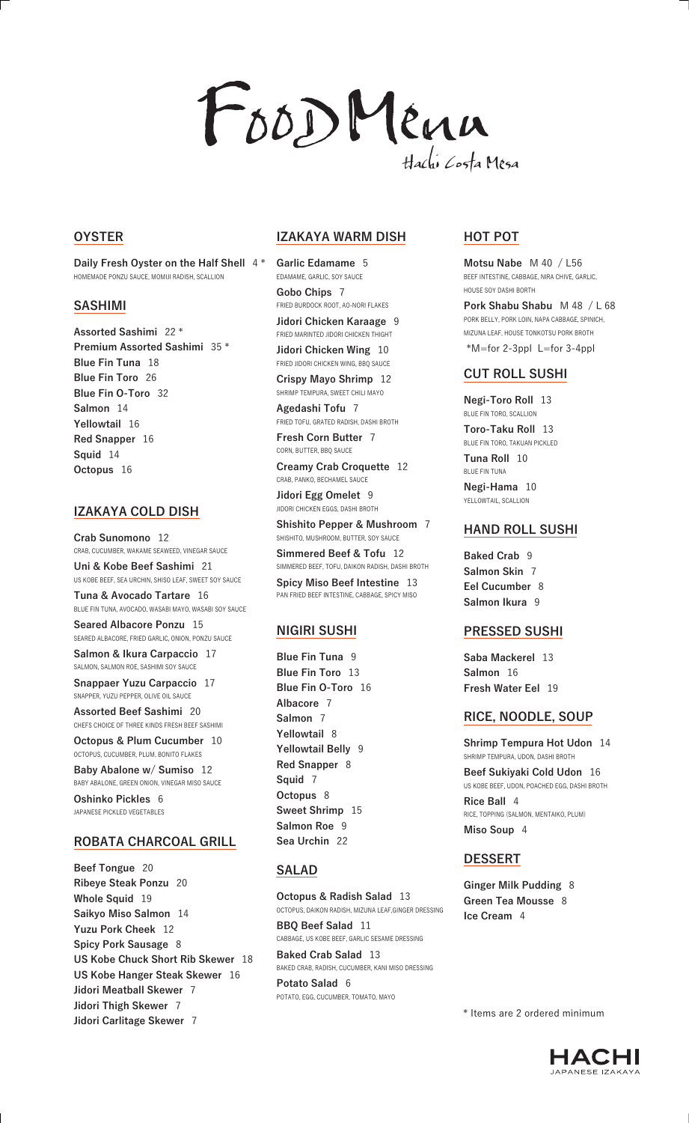# FOODMenn Hachi Costa Mesa

#### **OYSTER**

**Daily Fresh Oyster on the Half Shell** 4 \* HOMEMADE PONZU SAUCE, MOMIJI RADISH, SCALLION

#### **SASHIMI**

**Assorted Sashimi** 22 \* **Premium Assorted Sashimi** 35 \* **Blue Fin Tuna** 18 **Blue Fin Toro** 26 **Blue Fin O-Toro** 32 **Salmon** 14 **Yellowtail** 16 **Red Snapper** 16 **Squid** 14 **Octopus** 16

# **IZAKAYA COLD DISH**

**Crab Sunomono** 12 CRAB, CUCUMBER, WAKAME SEAWEED, VINEGAR SAUCE **Uni & Kobe Beef Sashimi** 21 US KOBE BEEF, SEA URCHIN, SHISO LEAF, SWEET SOY SAUCE

**Tuna & Avocado Tartare** 16 BLUE FIN TUNA, AVOCADO, WASABI MAYO, WASABI SOY SAUCE

**Seared Albacore Ponzu** 15 SEARED ALBACORE, FRIED GARLIC, ONION, PONZU SAUCE

**Salmon & Ikura Carpaccio** 17 SALMON, SALMON ROE, SASHIMI SOY SAUCE

**Snappaer Yuzu Carpaccio** 17 SNAPPER, YUZU PEPPER, OLIVE OIL SAUCE

**Assorted Beef Sashimi** 20 CHEFS CHOICE OF THREE KINDS FRESH BEEF SASHIMI

**Octopus & Plum Cucumber** 10 OCTOPUS, CUCUMBER, PLUM, BONITO FLAKES

**Baby Abalone w/ Sumiso** 12 BABY ABALONE, GREEN ONION, VINEGAR MISO SAUCE **Oshinko Pickles** 6 JAPANESE PICKLED VEGETABLES

#### **ROBATA CHARCOAL GRILL**

**Beef Tongue** 20 **Ribeye Steak Ponzu** 20 **Whole Squid** 19 **Saikyo Miso Salmon** 14 **Yuzu Pork Cheek** 12 **Spicy Pork Sausage** 8 **US Kobe Chuck Short Rib Skewer** 18 **US Kobe Hanger Steak Skewer** 16 **Jidori Meatball Skewer** 7 **Jidori Thigh Skewer** 7 **Jidori Carlitage Skewer** 7

#### **IZAKAYA WARM DISH**

**Garlic Edamame** 5 EDAMAME, GARLIC, SOY SAUCE **Gobo Chips** 7

FRIED BURDOCK ROOT, AO-NORI FLAKES **Jidori Chicken Karaage** 9

FRIED MARINTED JIDORI CHICKEN THIGHT

**Jidori Chicken Wing** 10 FRIED JIDORI CHICKEN WING, BBQ SAUCE

**Crispy Mayo Shrimp** 12 SHRIMP TEMPURA, SWEET CHILI MAYO

**Agedashi Tofu** 7 FRIED TOFU, GRATED RADISH, DASHI BROTH

**Fresh Corn Butter** 7 CORN, BUTTER, BBQ SAUCE

**Creamy Crab Croquette** 12 CRAB, PANKO, BECHAMEL SAUCE

**Jidori Egg Omelet** 9 JIDORI CHICKEN EGGS, DASHI BROTH

**Shishito Pepper & Mushroom** 7 SHISHITO, MUSHROOM, BUTTER, SOY SAUCE

**Simmered Beef & Tofu** 12 SIMMERED BEEF, TOFU, DAIKON RADISH, DASHI BROTH

**Spicy Miso Beef Intestine** 13 PAN FRIED BEEF INTESTINE, CABBAGE, SPICY MISO

#### **NIGIRI SUSHI**

**Blue Fin Tuna** 9 **Blue Fin Toro** 13 **Blue Fin O-Toro** 16 **Albacore** 7 **Salmon** 7 **Yellowtail** 8 **Yellowtail Belly** 9 **Red Snapper** 8 **Squid** 7 **Octopus** 8 **Sweet Shrimp** 15 **Salmon Roe** 9 **Sea Urchin** 22

# **SALAD**

**Octopus & Radish Salad** 13 OCTOPUS, DAIKON RADISH, MIZUNA LEAF,GINGER DRESSING **BBQ Beef Salad** 11 CABBAGE, US KOBE BEEF, GARLIC SESAME DRESSING **Baked Crab Salad** 13

BAKED CRAB, RADISH, CUCUMBER, KANI MISO DRESSING **Potato Salad** 6 POTATO, EGG, CUCUMBER, TOMATO, MAYO

# **HOT POT**

**Motsu Nabe** M 40 / L56 BEEF INTESTINE, CABBAGE, NIRA CHIVE, GARLIC, HOUSE SOY DASHI BORTH **Pork Shabu Shabu** M 48 / L 68 PORK BELLY, PORK LOIN, NAPA CABBAGE, SPINICH, MIZUNA LEAF, HOUSE TONKOTSU PORK BROTH \*M=for 2-3ppl L=for 3-4ppl

### **CUT ROLL SUSHI**

**Negi-Toro Roll** 13 BLUE FIN TORO, SCALLION **Toro-Taku Roll** 13 BLUE FIN TORO, TAKUAN PICKLED

**Tuna Roll** 10 BLUE FIN TUNA **Negi-Hama** 10

YELLOWTAIL, SCALLION

### **HAND ROLL SUSHI**

**Baked Crab** 9 **Salmon Skin** 7 **Eel Cucumber** 8 **Salmon Ikura** 9

#### **PRESSED SUSHI**

**Saba Mackerel** 13 **Salmon** 16 **Fresh Water Eel** 19

# **RICE, NOODLE, SOUP**

**Shrimp Tempura Hot Udon** 14 SHRIMP TEMPURA, UDON, DASHI BROTH

**Beef Sukiyaki Cold Udon** 16 US KOBE BEEF, UDON, POACHED EGG, DASHI BROTH **Rice Ball** 4 RICE, TOPPING (SALMON, MENTAIKO, PLUM) **Miso Soup** 4

# **DESSERT**

**Ginger Milk Pudding** 8 **Green Tea Mousse** 8 **Ice Cream** 4

\* Items are 2 ordered minimum